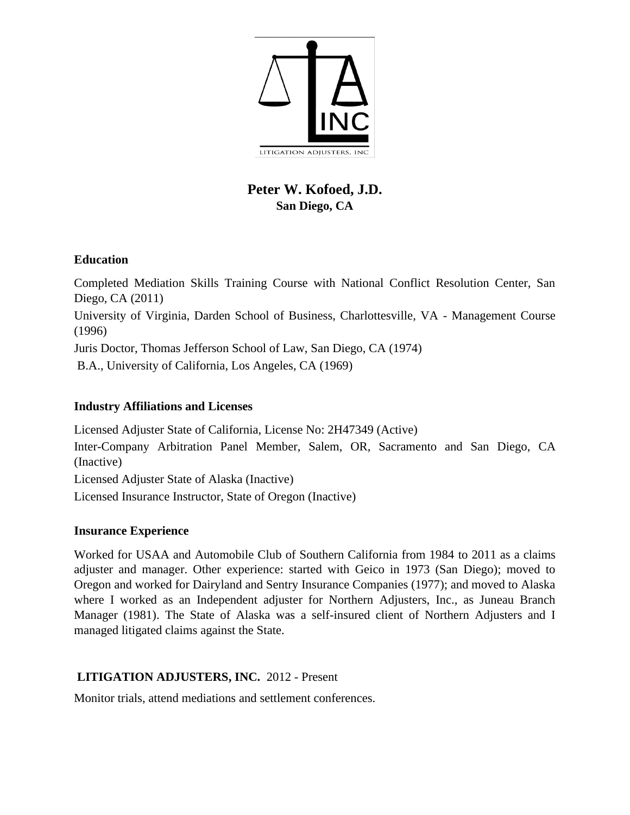

# **Peter W. Kofoed, J.D. San Diego, CA**

## **Education**

Completed Mediation Skills Training Course with National Conflict Resolution Center, San Diego, CA (2011) University of Virginia, Darden School of Business, Charlottesville, VA - Management Course (1996) Juris Doctor, Thomas Jefferson School of Law, San Diego, CA (1974) B.A., University of California, Los Angeles, CA (1969)

### **Industry Affiliations and Licenses**

Licensed Adjuster State of California, License No: 2H47349 (Active) Inter-Company Arbitration Panel Member, Salem, OR, Sacramento and San Diego, CA (Inactive) Licensed Adjuster State of Alaska (Inactive) Licensed Insurance Instructor, State of Oregon (Inactive)

### **Insurance Experience**

Worked for USAA and Automobile Club of Southern California from 1984 to 2011 as a claims adjuster and manager. Other experience: started with Geico in 1973 (San Diego); moved to Oregon and worked for Dairyland and Sentry Insurance Companies (1977); and moved to Alaska where I worked as an Independent adjuster for Northern Adjusters, Inc., as Juneau Branch Manager (1981). The State of Alaska was a self-insured client of Northern Adjusters and I managed litigated claims against the State.

# **LITIGATION ADJUSTERS, INC.** 2012 - Present

Monitor trials, attend mediations and settlement conferences.